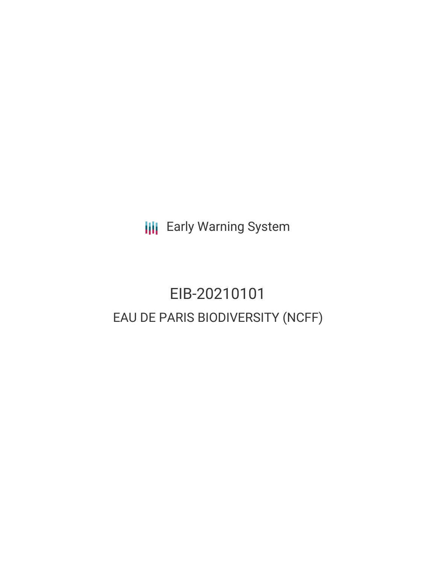**III** Early Warning System

# EIB-20210101 EAU DE PARIS BIODIVERSITY (NCFF)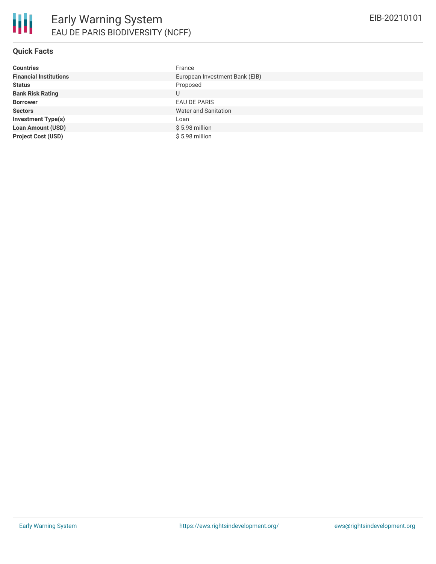| <b>Countries</b>              | France                         |
|-------------------------------|--------------------------------|
| <b>Financial Institutions</b> | European Investment Bank (EIB) |
| <b>Status</b>                 | Proposed                       |
| <b>Bank Risk Rating</b>       | U                              |
| <b>Borrower</b>               | <b>EAU DE PARIS</b>            |
| <b>Sectors</b>                | <b>Water and Sanitation</b>    |
| <b>Investment Type(s)</b>     | Loan                           |
| <b>Loan Amount (USD)</b>      | \$5.98 million                 |
| <b>Project Cost (USD)</b>     | \$5.98 million                 |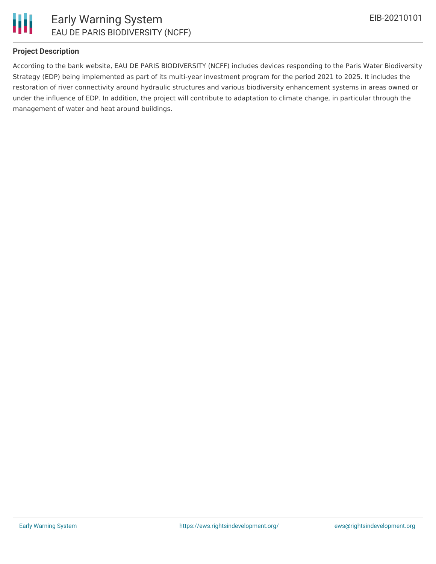

## **Project Description**

According to the bank website, EAU DE PARIS BIODIVERSITY (NCFF) includes devices responding to the Paris Water Biodiversity Strategy (EDP) being implemented as part of its multi-year investment program for the period 2021 to 2025. It includes the restoration of river connectivity around hydraulic structures and various biodiversity enhancement systems in areas owned or under the influence of EDP. In addition, the project will contribute to adaptation to climate change, in particular through the management of water and heat around buildings.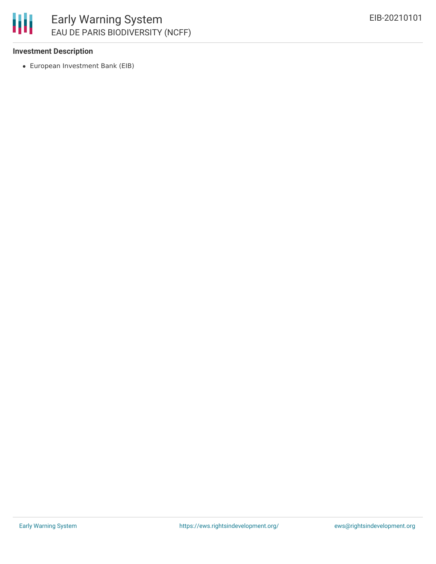

## **Investment Description**

European Investment Bank (EIB)